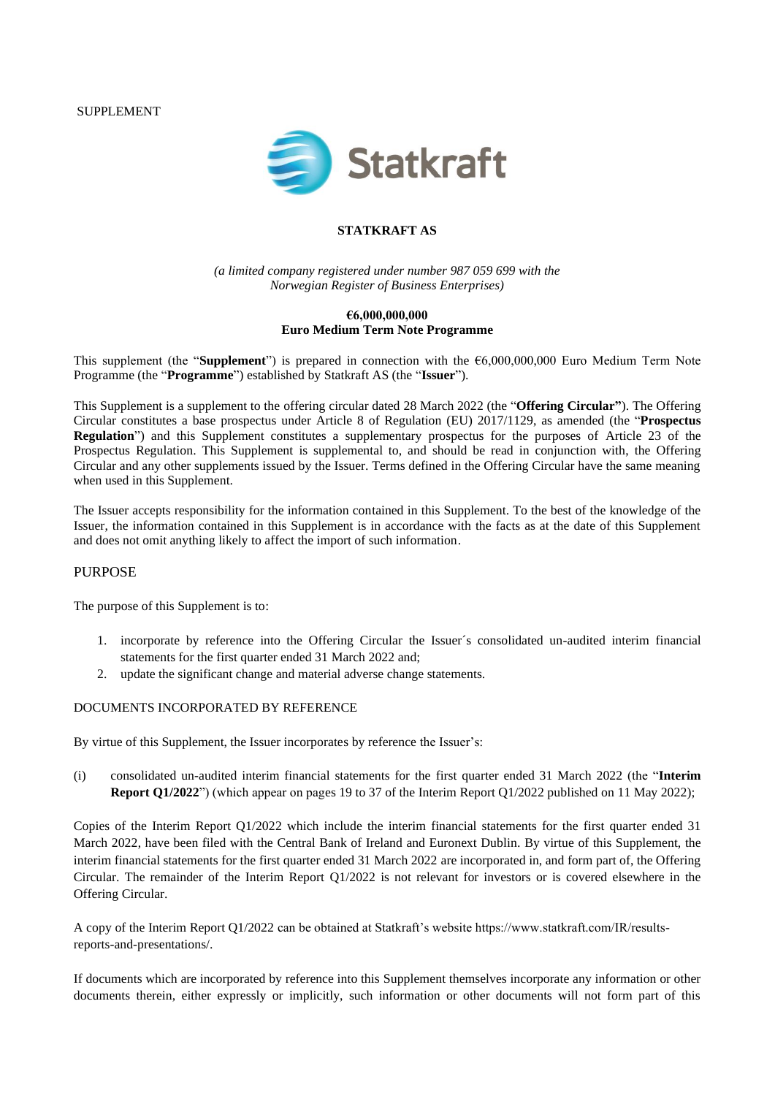SUPPLEMENT



## **STATKRAFT AS**

*(a limited company registered under number 987 059 699 with the Norwegian Register of Business Enterprises)*

#### **€6,000,000,000 Euro Medium Term Note Programme**

This supplement (the "**Supplement**") is prepared in connection with the €6,000,000,000 Euro Medium Term Note Programme (the "**Programme**") established by Statkraft AS (the "**Issuer**").

This Supplement is a supplement to the offering circular dated 28 March 2022 (the "**Offering Circular"**). The Offering Circular constitutes a base prospectus under Article 8 of Regulation (EU) 2017/1129, as amended (the "**Prospectus Regulation**") and this Supplement constitutes a supplementary prospectus for the purposes of Article 23 of the Prospectus Regulation. This Supplement is supplemental to, and should be read in conjunction with, the Offering Circular and any other supplements issued by the Issuer. Terms defined in the Offering Circular have the same meaning when used in this Supplement.

The Issuer accepts responsibility for the information contained in this Supplement. To the best of the knowledge of the Issuer, the information contained in this Supplement is in accordance with the facts as at the date of this Supplement and does not omit anything likely to affect the import of such information.

### PURPOSE

The purpose of this Supplement is to:

- 1. incorporate by reference into the Offering Circular the Issuer´s consolidated un-audited interim financial statements for the first quarter ended 31 March 2022 and;
- 2. update the significant change and material adverse change statements.

#### DOCUMENTS INCORPORATED BY REFERENCE

By virtue of this Supplement, the Issuer incorporates by reference the Issuer's:

(i) consolidated un-audited interim financial statements for the first quarter ended 31 March 2022 (the "**Interim Report Q1/2022**") (which appear on pages 19 to 37 of the Interim Report Q1/2022 published on 11 May 2022);

Copies of the Interim Report Q1/2022 which include the interim financial statements for the first quarter ended 31 March 2022, have been filed with the Central Bank of Ireland and Euronext Dublin. By virtue of this Supplement, the interim financial statements for the first quarter ended 31 March 2022 are incorporated in, and form part of, the Offering Circular. The remainder of the Interim Report Q1/2022 is not relevant for investors or is covered elsewhere in the Offering Circular.

A copy of the Interim Report Q1/2022 can be obtained at Statkraft's website https://www.statkraft.com/IR/resultsreports-and-presentations/.

If documents which are incorporated by reference into this Supplement themselves incorporate any information or other documents therein, either expressly or implicitly, such information or other documents will not form part of this